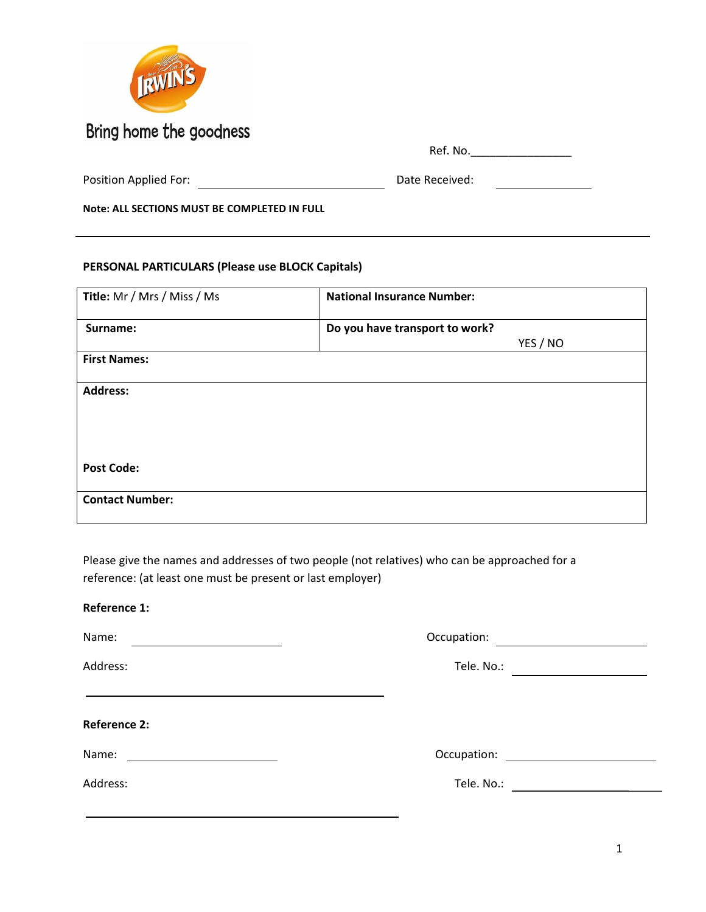

|  | $\overline{\phantom{a}}$<br>Ref. No. |
|--|--------------------------------------|
|--|--------------------------------------|

| Position Applied For:<br>Date Received: |
|-----------------------------------------|
|-----------------------------------------|

**Note: ALL SECTIONS MUST BE COMPLETED IN FULL**

#### **PERSONAL PARTICULARS (Please use BLOCK Capitals)**

| Title: Mr / Mrs / Miss / Ms | <b>National Insurance Number:</b> |
|-----------------------------|-----------------------------------|
| Surname:                    | Do you have transport to work?    |
|                             | YES / NO                          |
| <b>First Names:</b>         |                                   |
| <b>Address:</b>             |                                   |
|                             |                                   |
|                             |                                   |
| <b>Post Code:</b>           |                                   |
| <b>Contact Number:</b>      |                                   |

Please give the names and addresses of two people (not relatives) who can be approached for a reference: (at least one must be present or last employer)

# **Reference 1:** Name: <u>December 2008</u> Compatibol: Compatibol: Compatibol: Compatibol: Compatibol: Compatibol: Compatibol: Compatibol: Compatibol: Compatibol: Compatibol: Compatibol: Compatibol: Compatibol: Compatibol: Compatibol: Compatib Address: Tele. No.: **Reference 2:** Name: Occupation: Address: Tele. No.: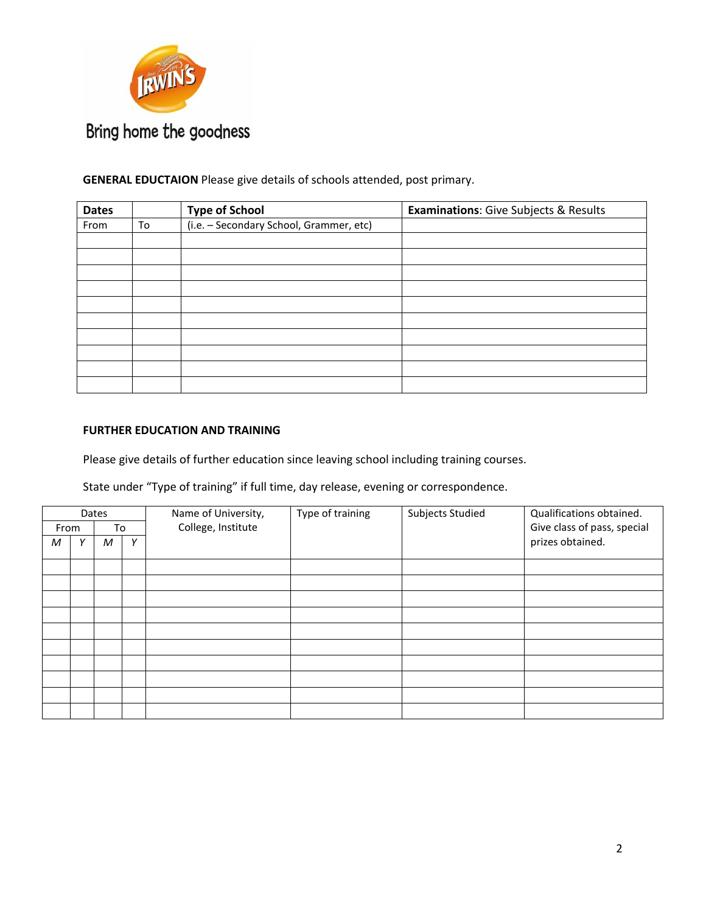

### **GENERAL EDUCTAION** Please give details of schools attended, post primary.

| <b>Dates</b> |    | <b>Type of School</b>                   | <b>Examinations:</b> Give Subjects & Results |
|--------------|----|-----------------------------------------|----------------------------------------------|
| From         | To | (i.e. - Secondary School, Grammer, etc) |                                              |
|              |    |                                         |                                              |
|              |    |                                         |                                              |
|              |    |                                         |                                              |
|              |    |                                         |                                              |
|              |    |                                         |                                              |
|              |    |                                         |                                              |
|              |    |                                         |                                              |
|              |    |                                         |                                              |
|              |    |                                         |                                              |
|              |    |                                         |                                              |

#### **FURTHER EDUCATION AND TRAINING**

Please give details of further education since leaving school including training courses.

State under "Type of training" if full time, day release, evening or correspondence.

| Dates      |  |        | Name of University, | Type of training | Subjects Studied | Qualifications obtained.    |                  |  |
|------------|--|--------|---------------------|------------------|------------------|-----------------------------|------------------|--|
| To<br>From |  |        | College, Institute  |                  |                  | Give class of pass, special |                  |  |
| M          |  | M<br>Υ |                     |                  |                  |                             | prizes obtained. |  |
|            |  |        |                     |                  |                  |                             |                  |  |
|            |  |        |                     |                  |                  |                             |                  |  |
|            |  |        |                     |                  |                  |                             |                  |  |
|            |  |        |                     |                  |                  |                             |                  |  |
|            |  |        |                     |                  |                  |                             |                  |  |
|            |  |        |                     |                  |                  |                             |                  |  |
|            |  |        |                     |                  |                  |                             |                  |  |
|            |  |        |                     |                  |                  |                             |                  |  |
|            |  |        |                     |                  |                  |                             |                  |  |
|            |  |        |                     |                  |                  |                             |                  |  |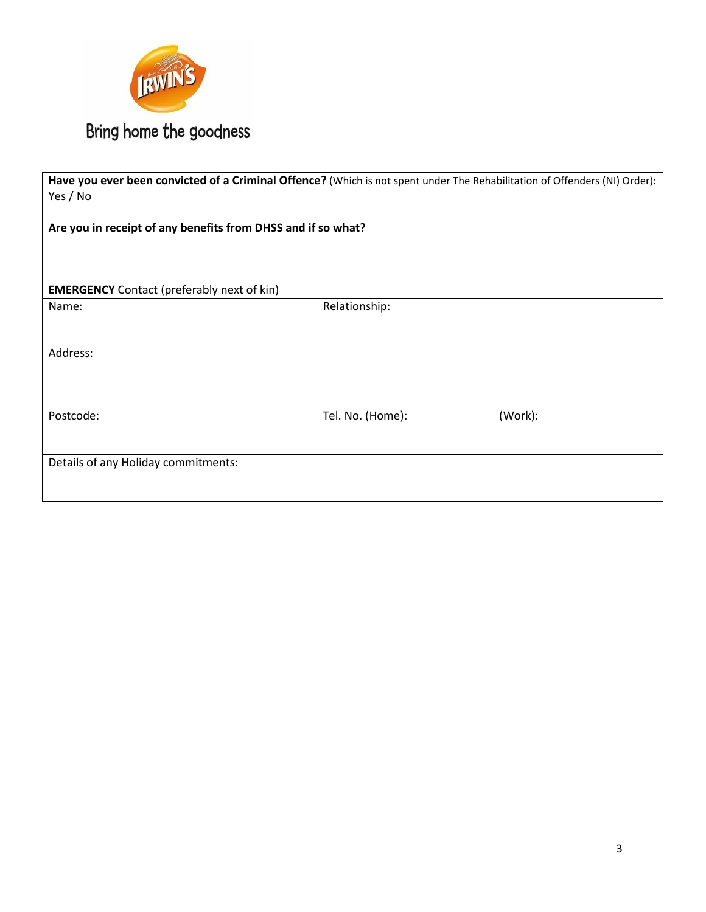

| Have you ever been convicted of a Criminal Offence? (Which is not spent under The Rehabilitation of Offenders (NI) Order):<br>Yes / No |                  |         |
|----------------------------------------------------------------------------------------------------------------------------------------|------------------|---------|
| Are you in receipt of any benefits from DHSS and if so what?                                                                           |                  |         |
| <b>EMERGENCY</b> Contact (preferably next of kin)                                                                                      |                  |         |
| Name:                                                                                                                                  | Relationship:    |         |
| Address:                                                                                                                               |                  |         |
| Postcode:                                                                                                                              | Tel. No. (Home): | (Work): |
| Details of any Holiday commitments:                                                                                                    |                  |         |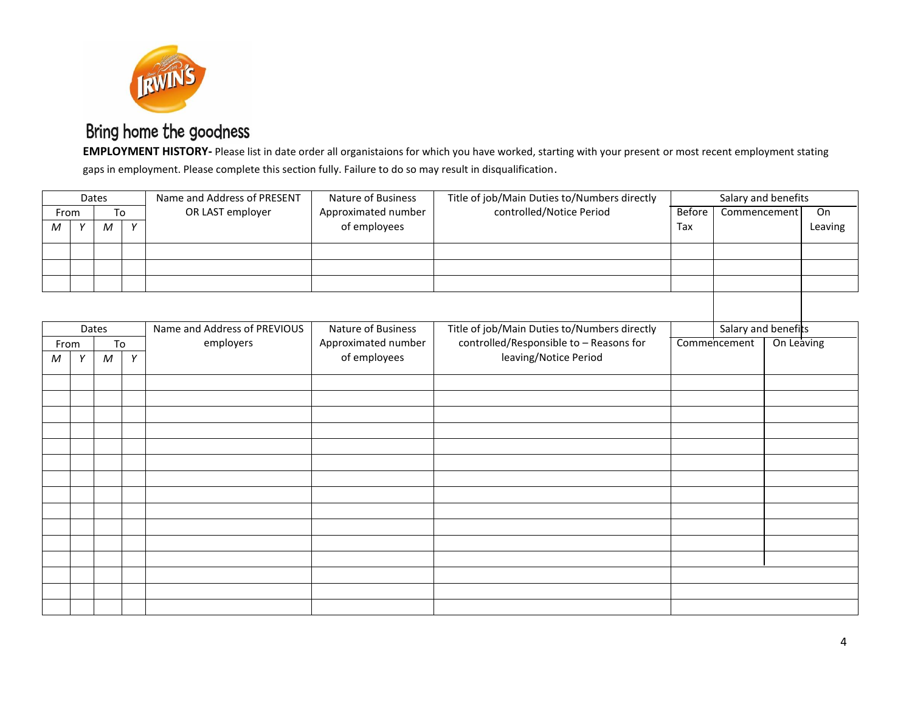

**EMPLOYMENT HISTORY-** Please list in date order all organistaions for which you have worked, starting with your present or most recent employment stating gaps in employment. Please complete this section fully. Failure to do so may result in disqualification.

|            |   | Dates            |   | Name and Address of PRESENT  | Nature of Business  | Title of job/Main Duties to/Numbers directly | Salary and benefits           |                     |            |         |
|------------|---|------------------|---|------------------------------|---------------------|----------------------------------------------|-------------------------------|---------------------|------------|---------|
| From       |   | To               |   | OR LAST employer             | Approximated number | controlled/Notice Period                     | <b>Before</b><br>Commencement |                     |            | On      |
| ${\cal M}$ | Y | $\boldsymbol{M}$ | Y |                              | of employees        |                                              | Tax                           |                     |            | Leaving |
|            |   |                  |   |                              |                     |                                              |                               |                     |            |         |
|            |   |                  |   |                              |                     |                                              |                               |                     |            |         |
|            |   |                  |   |                              |                     |                                              |                               |                     |            |         |
|            |   |                  |   |                              |                     |                                              |                               |                     |            |         |
|            |   | Dates            |   | Name and Address of PREVIOUS | Nature of Business  | Title of job/Main Duties to/Numbers directly |                               | Salary and benefits |            |         |
| From       |   | To               |   | employers                    | Approximated number | controlled/Responsible to - Reasons for      |                               | Commencement        | On Leaving |         |
| M          | Y | $\boldsymbol{M}$ | Y |                              | of employees        | leaving/Notice Period                        |                               |                     |            |         |
|            |   |                  |   |                              |                     |                                              |                               |                     |            |         |
|            |   |                  |   |                              |                     |                                              |                               |                     |            |         |
|            |   |                  |   |                              |                     |                                              |                               |                     |            |         |
|            |   |                  |   |                              |                     |                                              |                               |                     |            |         |
|            |   |                  |   |                              |                     |                                              |                               |                     |            |         |
|            |   |                  |   |                              |                     |                                              |                               |                     |            |         |
|            |   |                  |   |                              |                     |                                              |                               |                     |            |         |
|            |   |                  |   |                              |                     |                                              |                               |                     |            |         |
|            |   |                  |   |                              |                     |                                              |                               |                     |            |         |
|            |   |                  |   |                              |                     |                                              |                               |                     |            |         |
|            |   |                  |   |                              |                     |                                              |                               |                     |            |         |
|            |   |                  |   |                              |                     |                                              |                               |                     |            |         |
|            |   |                  |   |                              |                     |                                              |                               |                     |            |         |
|            |   |                  |   |                              |                     |                                              |                               |                     |            |         |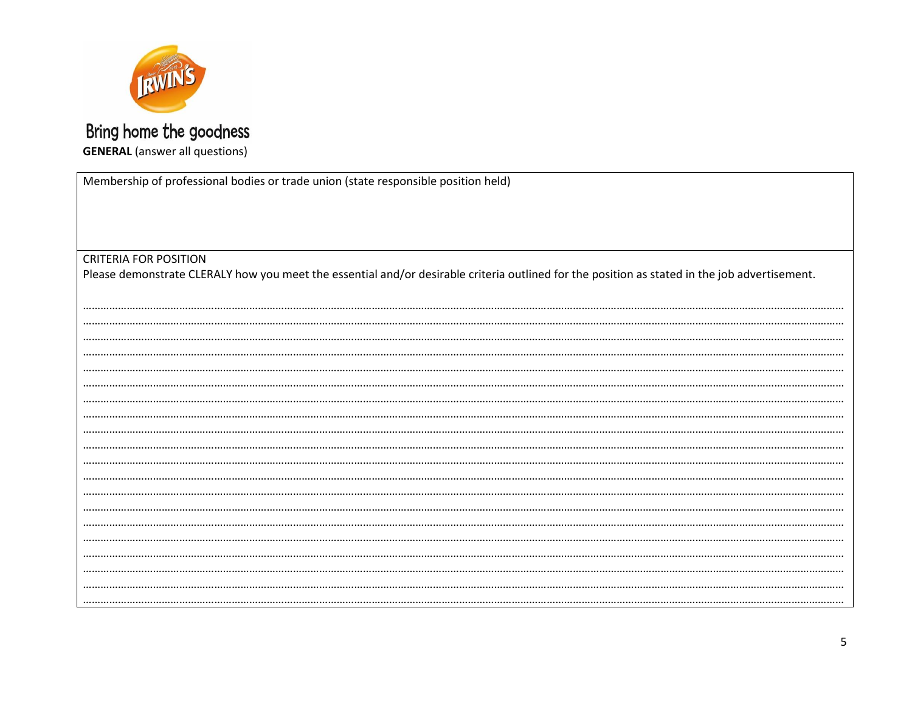

### Bring home the goodness **GENERAL** (answer all questions)

Membership of professional bodies or trade union (state responsible position held)

**CRITERIA FOR POSITION** 

Please demonstrate CLERALY how you meet the essential and/or desirable criteria outlined for the position as stated in the job advertisement.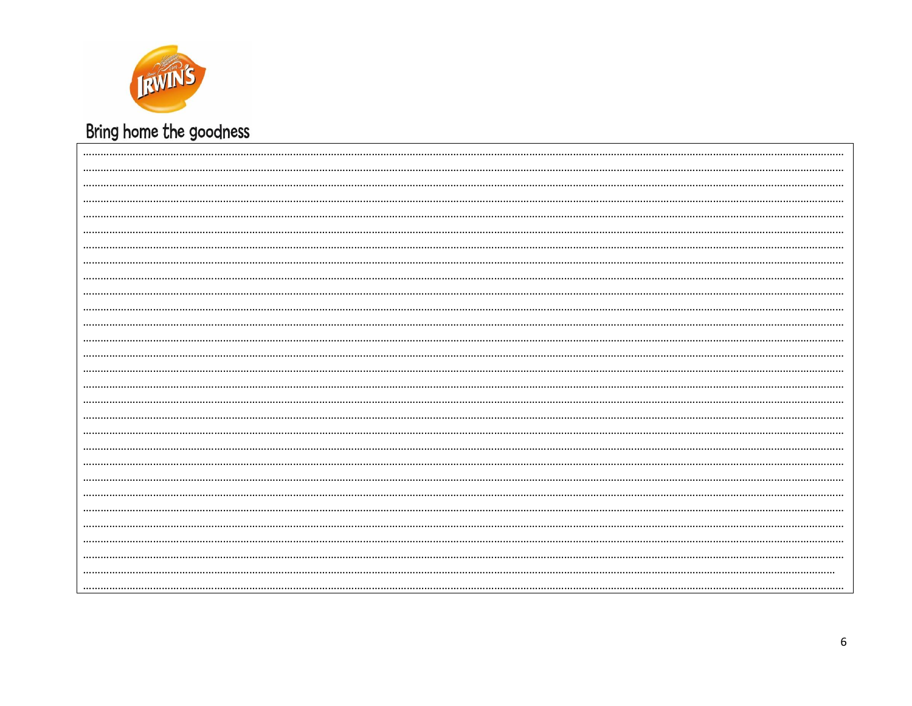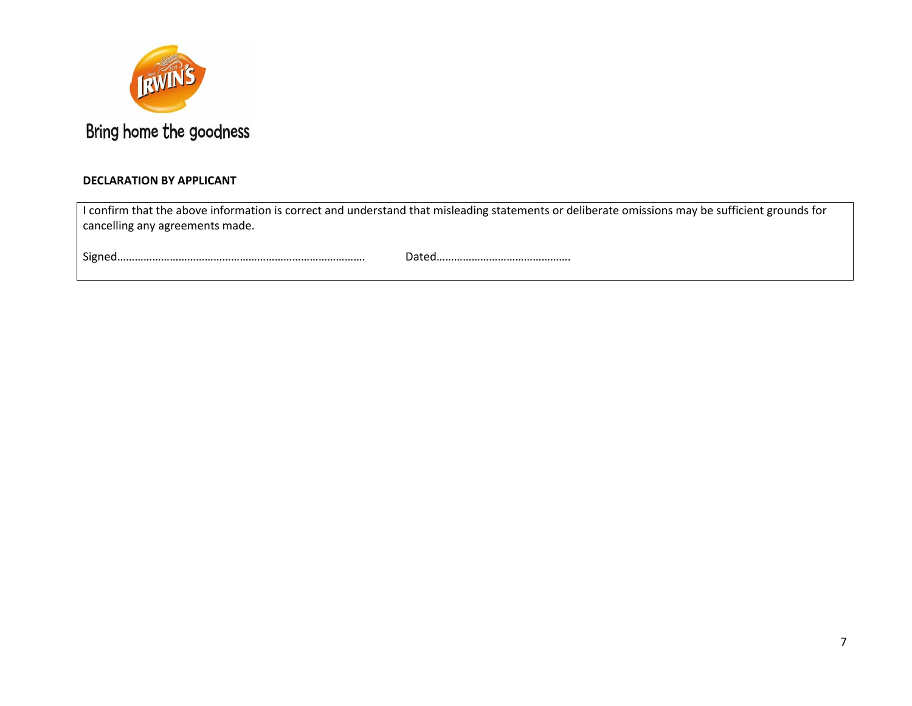

### **DECLARATION BY APPLICANT**

| I confirm that the above information is correct and understand that misleading statements or deliberate omissions may be sufficient grounds for |
|-------------------------------------------------------------------------------------------------------------------------------------------------|
| cancelling any agreements made.                                                                                                                 |
|                                                                                                                                                 |

Signed…………………………………………………………………………. Dated……………………………………….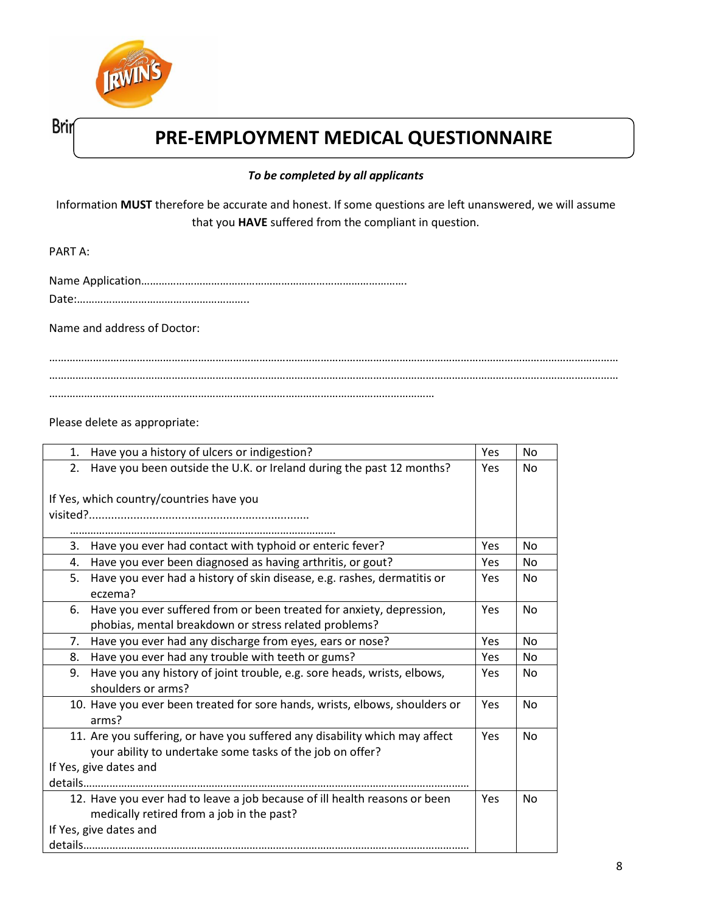

Brin

### **PRE-EMPLOYMENT MEDICAL QUESTIONNAIRE**

### *To be completed by all applicants*

Information **MUST** therefore be accurate and honest. If some questions are left unanswered, we will assume that you **HAVE** suffered from the compliant in question.

PART A:

Date:…………………………………………………..

Name and address of Doctor:

…………………………………………………………………………………………………………………………………………………………………………… …………………………………………………………………………………………………………………………………………………………………………… ……………………………………………………………………………………………………………………

Please delete as appropriate:

| Have you a history of ulcers or indigestion?<br>1.                            | Yes        | No             |
|-------------------------------------------------------------------------------|------------|----------------|
| Have you been outside the U.K. or Ireland during the past 12 months?<br>2.    | Yes        | No.            |
|                                                                               |            |                |
| If Yes, which country/countries have you                                      |            |                |
|                                                                               |            |                |
|                                                                               |            |                |
| Have you ever had contact with typhoid or enteric fever?<br>3.                | Yes        | <b>No</b>      |
| Have you ever been diagnosed as having arthritis, or gout?<br>4.              | Yes        | No             |
| Have you ever had a history of skin disease, e.g. rashes, dermatitis or<br>5. | Yes        | N <sub>0</sub> |
| eczema?                                                                       |            |                |
| Have you ever suffered from or been treated for anxiety, depression,<br>6.    | Yes        | <b>No</b>      |
| phobias, mental breakdown or stress related problems?                         |            |                |
| Have you ever had any discharge from eyes, ears or nose?<br>7.                | Yes        | <b>No</b>      |
| Have you ever had any trouble with teeth or gums?<br>8.                       | Yes        | No.            |
| Have you any history of joint trouble, e.g. sore heads, wrists, elbows,<br>9. | <b>Yes</b> | No.            |
| shoulders or arms?                                                            |            |                |
| 10. Have you ever been treated for sore hands, wrists, elbows, shoulders or   | <b>Yes</b> | <b>No</b>      |
| arms?                                                                         |            |                |
| 11. Are you suffering, or have you suffered any disability which may affect   | Yes        | N <sub>o</sub> |
| your ability to undertake some tasks of the job on offer?                     |            |                |
| If Yes, give dates and                                                        |            |                |
|                                                                               |            |                |
| 12. Have you ever had to leave a job because of ill health reasons or been    | Yes        | <b>No</b>      |
| medically retired from a job in the past?                                     |            |                |
| If Yes, give dates and                                                        |            |                |
|                                                                               |            |                |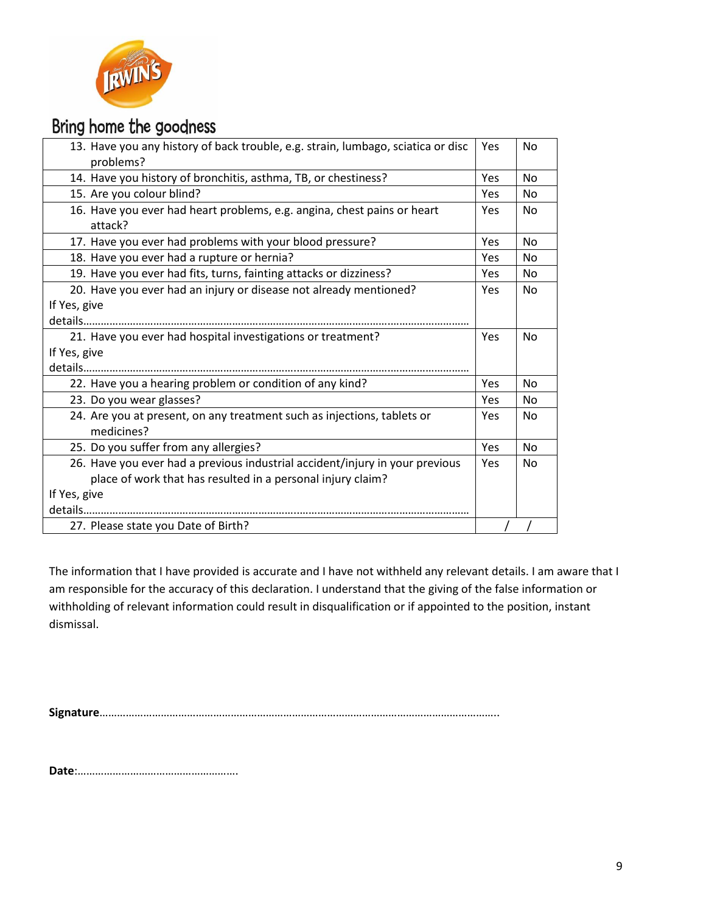

| 13. Have you any history of back trouble, e.g. strain, lumbago, sciatica or disc<br>problems?                                                               | <b>Yes</b> | No             |
|-------------------------------------------------------------------------------------------------------------------------------------------------------------|------------|----------------|
| 14. Have you history of bronchitis, asthma, TB, or chestiness?                                                                                              | Yes        | <b>No</b>      |
| 15. Are you colour blind?                                                                                                                                   | Yes        | N <sub>0</sub> |
| 16. Have you ever had heart problems, e.g. angina, chest pains or heart<br>attack?                                                                          | Yes        | No             |
| 17. Have you ever had problems with your blood pressure?                                                                                                    | Yes        | <b>No</b>      |
| 18. Have you ever had a rupture or hernia?                                                                                                                  | Yes        | N <sub>0</sub> |
| 19. Have you ever had fits, turns, fainting attacks or dizziness?                                                                                           | Yes        | N <sub>0</sub> |
| 20. Have you ever had an injury or disease not already mentioned?<br>If Yes, give                                                                           | Yes        | <b>No</b>      |
| 21. Have you ever had hospital investigations or treatment?<br>If Yes, give                                                                                 | <b>Yes</b> | <b>No</b>      |
| 22. Have you a hearing problem or condition of any kind?                                                                                                    | Yes        | <b>No</b>      |
| 23. Do you wear glasses?                                                                                                                                    | Yes        | N <sub>0</sub> |
| 24. Are you at present, on any treatment such as injections, tablets or<br>medicines?                                                                       | Yes        | No             |
| 25. Do you suffer from any allergies?                                                                                                                       | Yes        | No             |
| 26. Have you ever had a previous industrial accident/injury in your previous<br>place of work that has resulted in a personal injury claim?<br>If Yes, give | Yes        | N <sub>0</sub> |
| 27. Please state you Date of Birth?                                                                                                                         |            |                |

The information that I have provided is accurate and I have not withheld any relevant details. I am aware that I am responsible for the accuracy of this declaration. I understand that the giving of the false information or withholding of relevant information could result in disqualification or if appointed to the position, instant dismissal.

**Signature**………………………………………………………………………………………………………………………..

**Date**:……………………………………………….